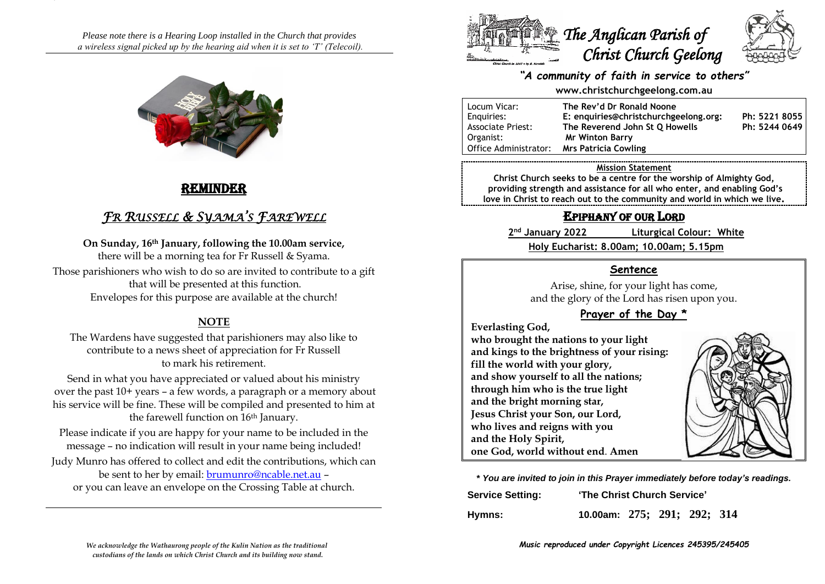*Please note there is a Hearing Loop installed in the Church that provides a wireless signal picked up by the hearing aid when it is set to 'T' (Telecoil).*



# REMINDER

# *FR RUSSELL & SYAMA'S FAREWELL*

**On Sunday, 16th January, following the 10.00am service,**  there will be a morning tea for Fr Russell & Syama. Those parishioners who wish to do so are invited to contribute to a gift that will be presented at this function. Envelopes for this purpose are available at the church!

### **NOTE**

The Wardens have suggested that parishioners may also like to contribute to a news sheet of appreciation for Fr Russell to mark his retirement.

Send in what you have appreciated or valued about his ministry over the past 10+ years – a few words, a paragraph or a memory about his service will be fine. These will be compiled and presented to him at the farewell function on 16<sup>th</sup> January.

Please indicate if you are happy for your name to be included in the message – no indication will result in your name being included!

Judy Munro has offered to collect and edit the contributions, which can be sent to her by email: [brumunro@ncable.net.au](mailto:brumunro@ncable.net.au) – or you can leave an envelope on the Crossing Table at church.





#### *"A community of faith in service to others"*

#### **www.christchurchgeelong.com.au**

| Locum Vicar:             | The Rev'd Dr Ronald Noone             |               |
|--------------------------|---------------------------------------|---------------|
| Enguiries:               | E: enquiries@christchurchgeelong.org: | Ph: 5221 8055 |
| <b>Associate Priest:</b> | The Reverend John St O Howells        | Ph: 5244 0649 |
| Organist:                | <b>Mr Winton Barry</b>                |               |
| Office Administrator:    | <b>Mrs Patricia Cowling</b>           |               |

#### **Mission Statement**

**Christ Church seeks to be a centre for the worship of Almighty God, providing strength and assistance for all who enter, and enabling God's love in Christ to reach out to the community and world in which we live.**

# EPIPHANY OF OUR LORD

2<sup>nd</sup> January 2022 **Liturgical Colour: White Holy Eucharist: 8.00am; 10.00am; 5.15pm**

#### **Sentence**

Arise, shine, for your light has come, and the glory of the Lord has risen upon you.

### **Prayer of the Day \***

**Everlasting God,**

**who brought the nations to your light and kings to the brightness of your rising: fill the world with your glory, and show yourself to all the nations; through him who is the true light and the bright morning star, Jesus Christ your Son, our Lord, who lives and reigns with you and the Holy Spirit, one God, world without end**. **Amen**



**\*** *You are invited to join in this Prayer immediately before today's readings.*

| <b>Service Setting:</b> | 'The Christ Church Service' |  |  |  |  |
|-------------------------|-----------------------------|--|--|--|--|
| Hymns:                  | 10.00am: 275; 291; 292; 314 |  |  |  |  |